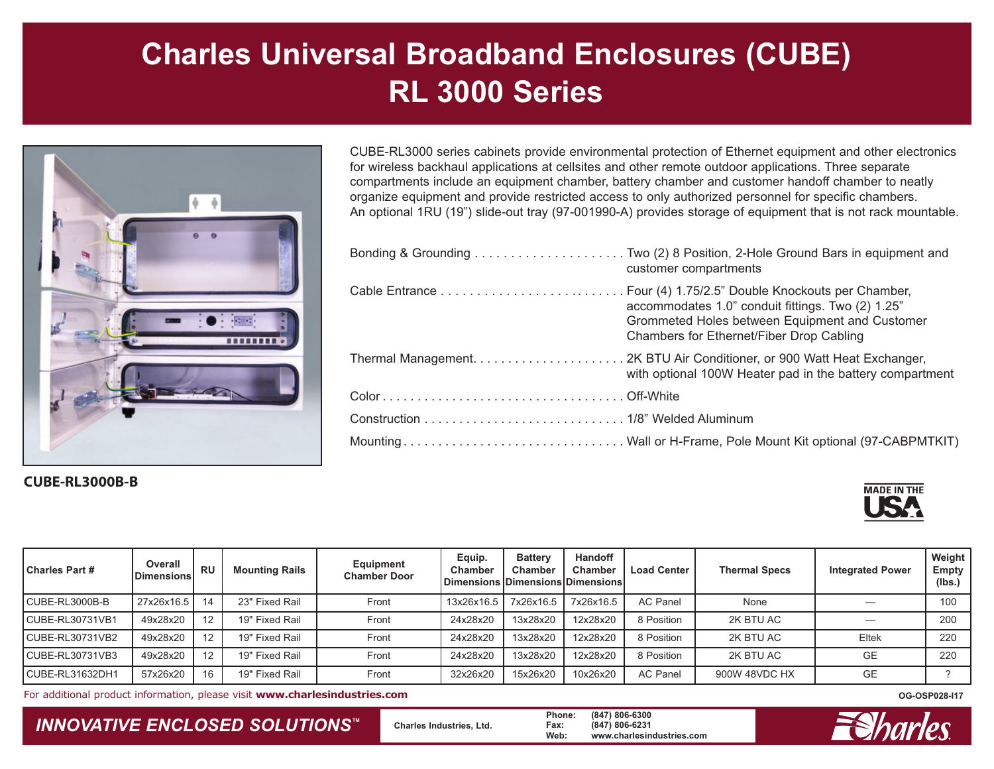

#### **CUBE-RL3000B-B**

CUBE-RL3000 series cabinets provide environmental protection of Ethernet equipment and other electronics for wireless backhaul applications at cellsites and other remote outdoor applications. Three separate compartments include an equipment chamber, battery chamber and customer handoff chamber to neatly organize equipment and provide restricted access to only authorized personnel for specific chambers. An optional 1RU (19") slide-out tray (97-001990-A) provides storage of equipment that is not rack mountable.

| customer compartments                                                                                                                           |
|-------------------------------------------------------------------------------------------------------------------------------------------------|
| accommodates 1.0" conduit fittings. Two (2) 1.25"<br>Grommeted Holes between Equipment and Customer<br>Chambers for Ethernet/Fiber Drop Cabling |
| with optional 100W Heater pad in the battery compartment                                                                                        |
|                                                                                                                                                 |
|                                                                                                                                                 |
|                                                                                                                                                 |



| <b>Charles Part #</b> | Overall<br><b>Dimensions</b> | <b>RU</b> | <b>Mounting Rails</b> | Equipment<br><b>Chamber Door</b> | Equip.<br><b>Chamber</b><br>  Dimensions   Dimensions   Dimensions | <b>Battery</b><br>Chamber | Handoff<br><b>Chamber</b> | <b>Load Center</b> | <b>Thermal Specs</b> | <b>Integrated Power</b> | Weight<br><b>Empty</b><br>(Ibs.) |
|-----------------------|------------------------------|-----------|-----------------------|----------------------------------|--------------------------------------------------------------------|---------------------------|---------------------------|--------------------|----------------------|-------------------------|----------------------------------|
| CUBE-RL3000B-B        | 27x26x16.5                   | 14        | 23" Fixed Rail        | Front                            | 13x26x16.5                                                         | 7x26x16.5                 | 7x26x16.5                 | <b>AC Panel</b>    | None                 |                         | 100                              |
| CUBE-RL30731VB1       | 49x28x20                     | 12        | 19" Fixed Rail        | Front                            | 24x28x20                                                           | 13x28x20                  | 12x28x20                  | 8 Position         | 2K BTU AC            |                         | 200                              |
| CUBE-RL30731VB2       | 49x28x20                     | 12        | 19" Fixed Rail        | Front                            | 24x28x20                                                           | 13x28x20                  | 12x28x20                  | 8 Position         | 2K BTU AC            | Eltek                   | 220                              |
| CUBE-RL30731VB3       | 49x28x20                     | 12        | 19" Fixed Rail        | Front                            | 24x28x20                                                           | 13x28x20                  | 12x28x20                  | 8 Position         | 2K BTU AC            | <b>GE</b>               | 220                              |
| CUBE-RL31632DH1       | 57x26x20                     |           | 19" Fixed Rail        | Front                            | 32x26x20                                                           | 15x26x20                  | 10x26x20                  | <b>AC Panel</b>    | 900W 48VDC HX        | GE                      |                                  |

For additional product information, please visit **www.charlesindustries.com**

### *INNOVATIVE ENCLOSED SOLUTIONS ™*

 **Charles Industries, Ltd. Phone: (847) 806-6300 Fax: (847) 806-6231 Web: www.charlesindustries.com**



**OG-OSP028-I17**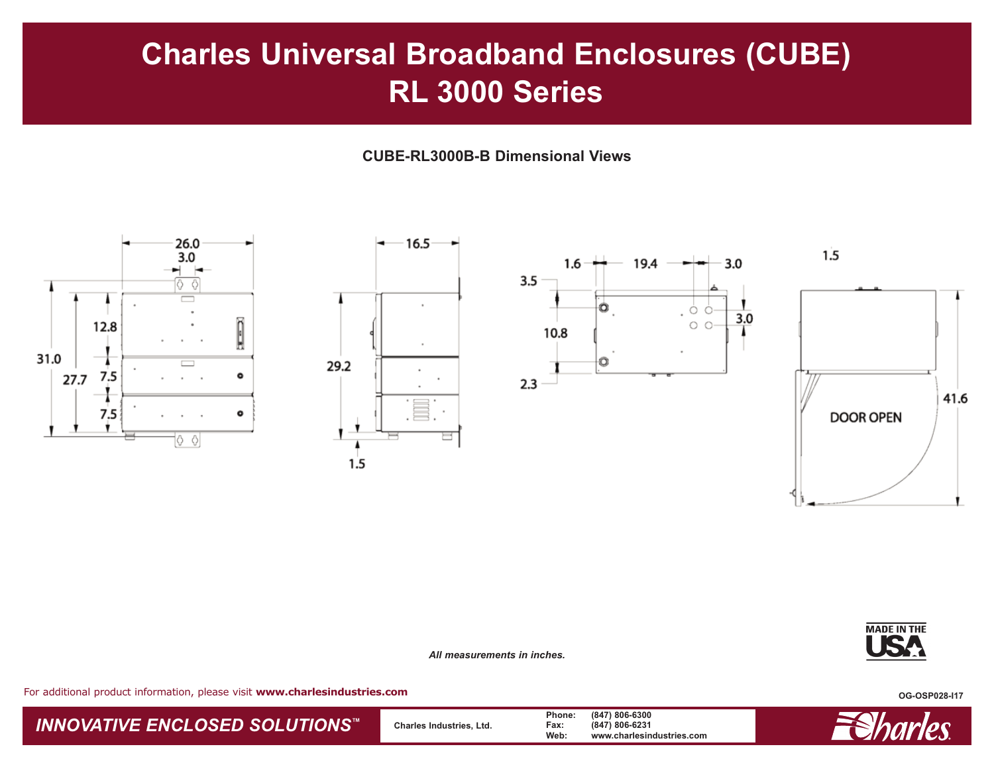**CUBE-RL3000B-B Dimensional Views**



*All measurements in inches.*



For additional product information, please visit **www.charlesindustries.com**

**OG-OSP028-I17**

### *INNOVATIVE ENCLOSED SOLUTIONS ™*

 **Charles Industries, Ltd. Phone: (847) 806-6300 Fax: (847) 806-6231 Web: www.charlesindustries.com**

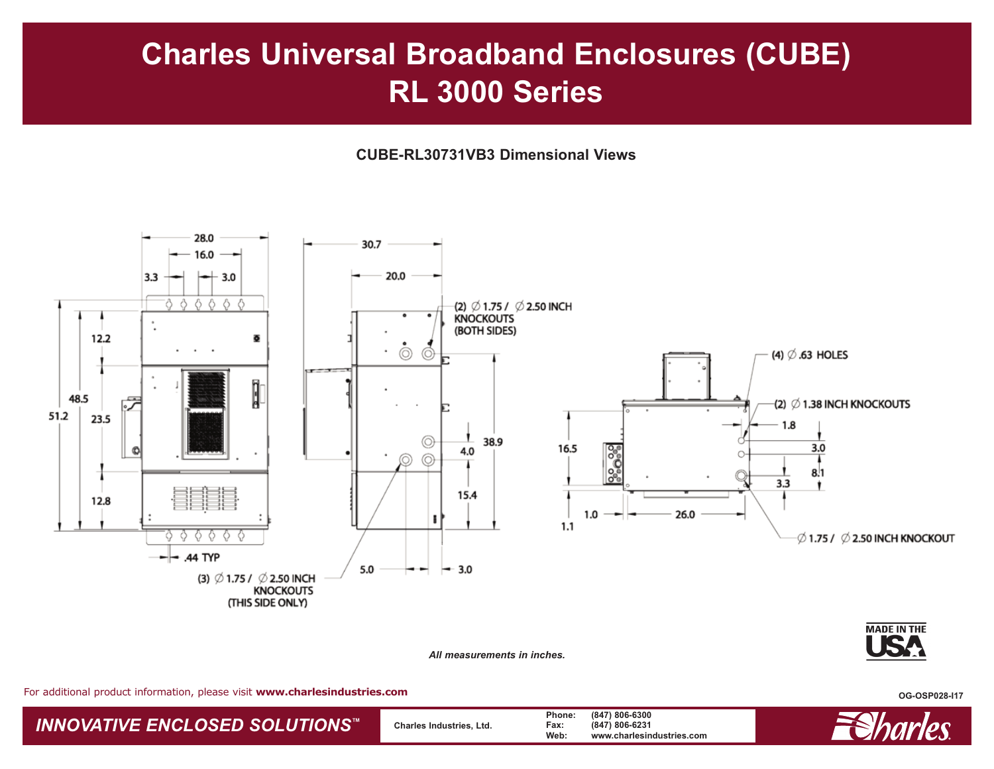**CUBE-RL30731VB3 Dimensional Views**



*All measurements in inches.*

For additional product information, please visit **www.charlesindustries.com**

**OG-OSP028-I17**

*INNOVATIVE ENCLOSED SOLUTIONS ™*

 **Charles Industries, Ltd. Phone: (847) 806-6300 Fax: (847) 806-6231 Web: www.charlesindustries.com**